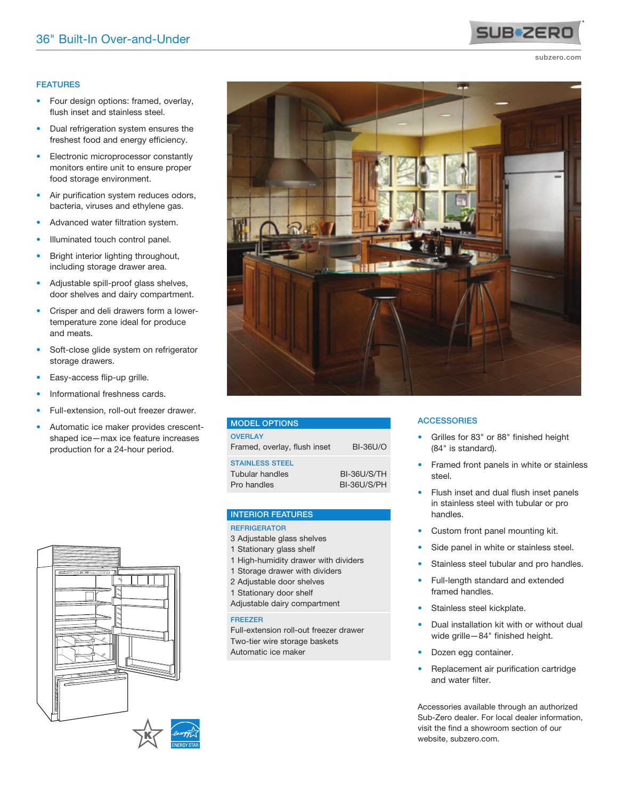## FEATURES

- Four design options: framed, overlay, flush inset and stainless steel.
- Dual refrigeration system ensures the freshest food and energy efficiency.
- Electronic microprocessor constantly monitors entire unit to ensure proper food storage environment.
- Air purification system reduces odors, bacteria, viruses and ethylene gas.
- Advanced water filtration system.
- Illuminated touch control panel.
- Bright interior lighting throughout, including storage drawer area.
- Adjustable spill-proof glass shelves, door shelves and dairy compartment.
- Crisper and deli drawers form a lowertemperature zone ideal for produce and meats.
- Soft-close glide system on refrigerator storage drawers.
- Easy-access flip-up grille.
- Informational freshness cards.
- Full-extension, roll-out freezer drawer.
- Automatic ice maker provides crescentshaped ice—max ice feature increases production for a 24-hour period.



| <b>MODEL OPTIONS</b>                                            |                            |
|-----------------------------------------------------------------|----------------------------|
| <b>OVERLAY</b><br>Framed, overlay, flush inset                  | <b>BI-36U/O</b>            |
| <b>STAINLESS STEEL</b><br><b>Tubular handles</b><br>Pro handles | BI-36U/S/TH<br>BI-36U/S/PH |

#### INTERIOR FEATURES

#### **REFRIGERATOR**

- 3 Adjustable glass shelves
- 1 Stationary glass shelf
- 1 High-humidity drawer with dividers
- 1 Storage drawer with dividers
- 2 Adjustable door shelves
- 1 Stationary door shelf
- Adjustable dairy compartment

#### FREEZER

Full-extension roll-out freezer drawer Two-tier wire storage baskets Automatic ice maker

#### **ACCESSORIES**

- Grilles for 83" or 88" finished height (84" is standard).
- Framed front panels in white or stainless steel.
- Flush inset and dual flush inset panels in stainless steel with tubular or pro handles.
- Custom front panel mounting kit.
- Side panel in white or stainless steel.
- Stainless steel tubular and pro handles.
- Full-length standard and extended framed handles.
- Stainless steel kickplate.
- Dual installation kit with or without dual wide grille—84" finished height.
- Dozen egg container.
- Replacement air purification cartridge and water filter.

Accessories available through an authorized Sub-Zero dealer. For local dealer information, visit the find a showroom section of our website, subzero.com.







**SUB**<sup>2</sup>ER

#### subzero.com